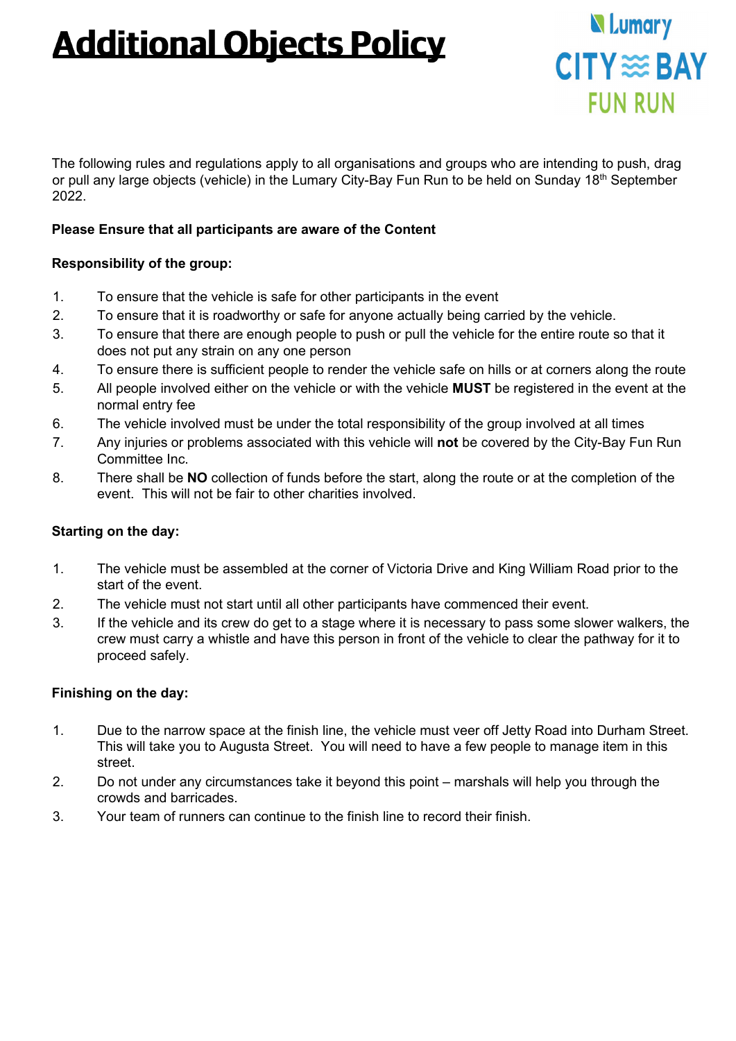## **Additional Objects Policy**



The following rules and regulations apply to all organisations and groups who are intending to push, drag or pull any large objects (vehicle) in the Lumary City-Bay Fun Run to be held on Sunday 18<sup>th</sup> September 2022.

#### **Please Ensure that all participants are aware of the Content**

### **Responsibility of the group:**

- 1. To ensure that the vehicle is safe for other participants in the event
- 2. To ensure that it is roadworthy or safe for anyone actually being carried by the vehicle.
- 3. To ensure that there are enough people to push or pull the vehicle for the entire route so that it does not put any strain on any one person
- 4. To ensure there is sufficient people to render the vehicle safe on hills or at corners along the route
- 5. All people involved either on the vehicle or with the vehicle **MUST** be registered in the event at the normal entry fee
- 6. The vehicle involved must be under the total responsibility of the group involved at all times
- 7. Any injuries or problems associated with this vehicle will **not** be covered by the City-Bay Fun Run Committee Inc.
- 8. There shall be **NO** collection of funds before the start, along the route or at the completion of the event. This will not be fair to other charities involved.

#### **Starting on the day:**

- 1. The vehicle must be assembled at the corner of Victoria Drive and King William Road prior to the start of the event.
- 2. The vehicle must not start until all other participants have commenced their event.
- 3. If the vehicle and its crew do get to a stage where it is necessary to pass some slower walkers, the crew must carry a whistle and have this person in front of the vehicle to clear the pathway for it to proceed safely.

#### **Finishing on the day:**

- 1. Due to the narrow space at the finish line, the vehicle must veer off Jetty Road into Durham Street. This will take you to Augusta Street. You will need to have a few people to manage item in this street.
- 2. Do not under any circumstances take it beyond this point marshals will help you through the crowds and barricades.
- 3. Your team of runners can continue to the finish line to record their finish.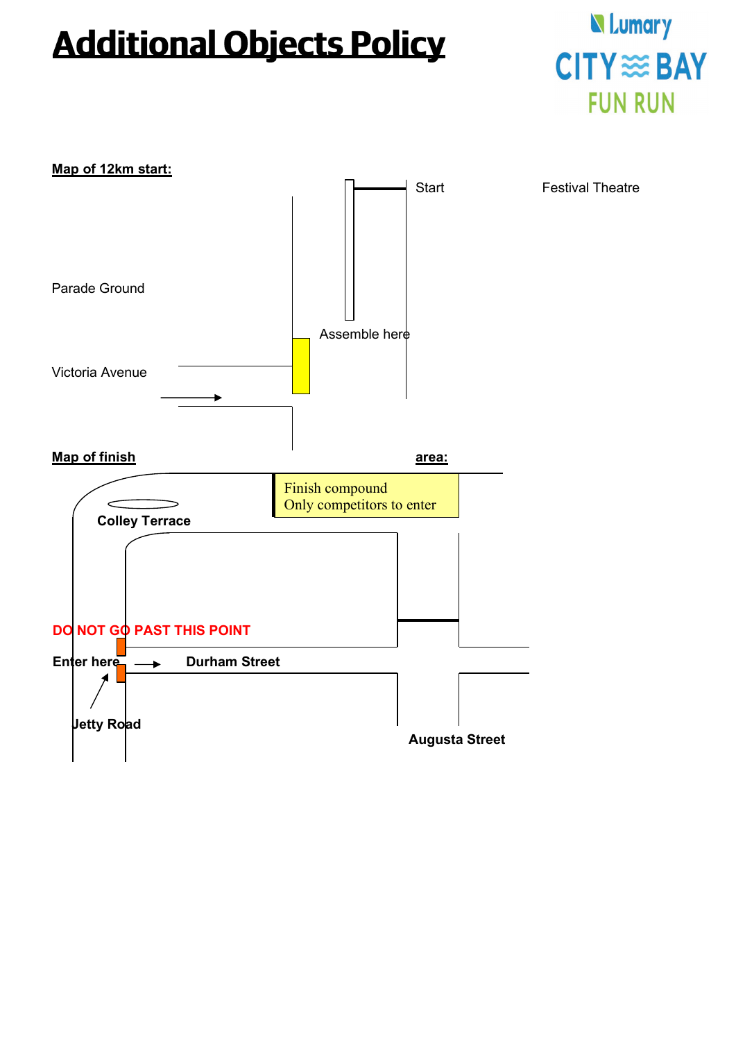# **Additional Objects Policy**